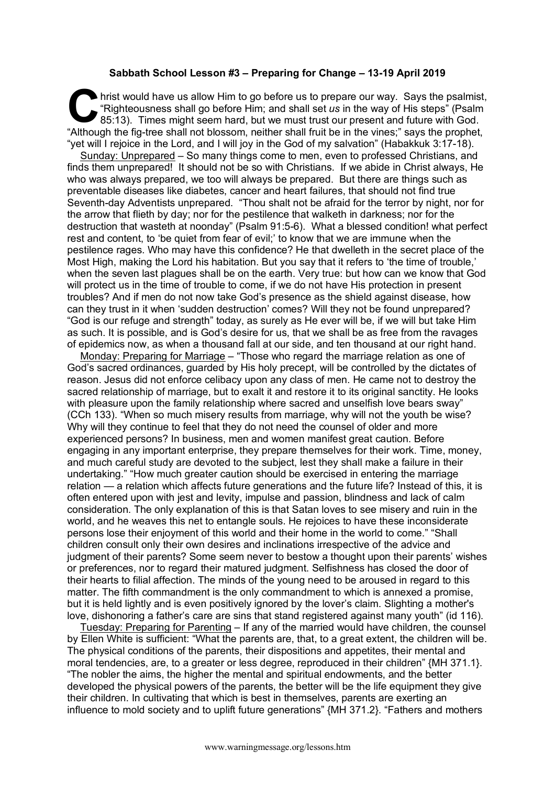## **Sabbath School Lesson #3 – Preparing for Change – 13-19 April 2019**

hrist would have us allow Him to go before us to prepare our way. Says the psalmist, "Righteousness shall go before Him; and shall set *us* in the way of His steps" (Psalm 85:13). Times might seem hard, but we must trust our present and future with God. Although the fig-tree shall not blossom, neither shall fruit be in the vines;" says the psalmist, "Righteousness shall go before Him; and shall set *us* in the way of His steps" (Psalm 85:13). Times might seem hard, but we "vet will I rejoice in the Lord, and I will joy in the God of my salvation" (Habakkuk 3:17-18).

Sunday: Unprepared – So many things come to men, even to professed Christians, and finds them unprepared! It should not be so with Christians. If we abide in Christ always, He who was always prepared, we too will always be prepared. But there are things such as preventable diseases like diabetes, cancer and heart failures, that should not find true Seventh-day Adventists unprepared. "Thou shalt not be afraid for the terror by night, nor for the arrow that flieth by day; nor for the pestilence that walketh in darkness; nor for the destruction that wasteth at noonday" (Psalm 91:5-6). What a blessed condition! what perfect rest and content, to 'be quiet from fear of evil;' to know that we are immune when the pestilence rages. Who may have this confidence? He that dwelleth in the secret place of the Most High, making the Lord his habitation. But you say that it refers to 'the time of trouble,' when the seven last plagues shall be on the earth. Very true: but how can we know that God will protect us in the time of trouble to come, if we do not have His protection in present troubles? And if men do not now take God's presence as the shield against disease, how can they trust in it when 'sudden destruction' comes? Will they not be found unprepared? "God is our refuge and strength" today, as surely as He ever will be, if we will but take Him as such. It is possible, and is God's desire for us, that we shall be as free from the ravages of epidemics now, as when a thousand fall at our side, and ten thousand at our right hand.

Monday: Preparing for Marriage – "Those who regard the marriage relation as one of God's sacred ordinances, guarded by His holy precept, will be controlled by the dictates of reason. Jesus did not enforce celibacy upon any class of men. He came not to destroy the sacred relationship of marriage, but to exalt it and restore it to its original sanctity. He looks with pleasure upon the family relationship where sacred and unselfish love bears sway" (CCh 133). "When so much misery results from marriage, why will not the youth be wise? Why will they continue to feel that they do not need the counsel of older and more experienced persons? In business, men and women manifest great caution. Before engaging in any important enterprise, they prepare themselves for their work. Time, money, and much careful study are devoted to the subject, lest they shall make a failure in their undertaking." "How much greater caution should be exercised in entering the marriage relation — a relation which affects future generations and the future life? Instead of this, it is often entered upon with jest and levity, impulse and passion, blindness and lack of calm consideration. The only explanation of this is that Satan loves to see misery and ruin in the world, and he weaves this net to entangle souls. He rejoices to have these inconsiderate persons lose their enjoyment of this world and their home in the world to come." "Shall children consult only their own desires and inclinations irrespective of the advice and judgment of their parents? Some seem never to bestow a thought upon their parents' wishes or preferences, nor to regard their matured judgment. Selfishness has closed the door of their hearts to filial affection. The minds of the young need to be aroused in regard to this matter. The fifth commandment is the only commandment to which is annexed a promise, but it is held lightly and is even positively ignored by the lover's claim. Slighting a mother's love, dishonoring a father's care are sins that stand registered against many youth" (id 116).

Tuesday: Preparing for Parenting – If any of the married would have children, the counsel by Ellen White is sufficient: "What the parents are, that, to a great extent, the children will be. The physical conditions of the parents, their dispositions and appetites, their mental and moral tendencies, are, to a greater or less degree, reproduced in their children" {MH 371.1}. "The nobler the aims, the higher the mental and spiritual endowments, and the better developed the physical powers of the parents, the better will be the life equipment they give their children. In cultivating that which is best in themselves, parents are exerting an influence to mold society and to uplift future generations" {MH 371.2}. "Fathers and mothers